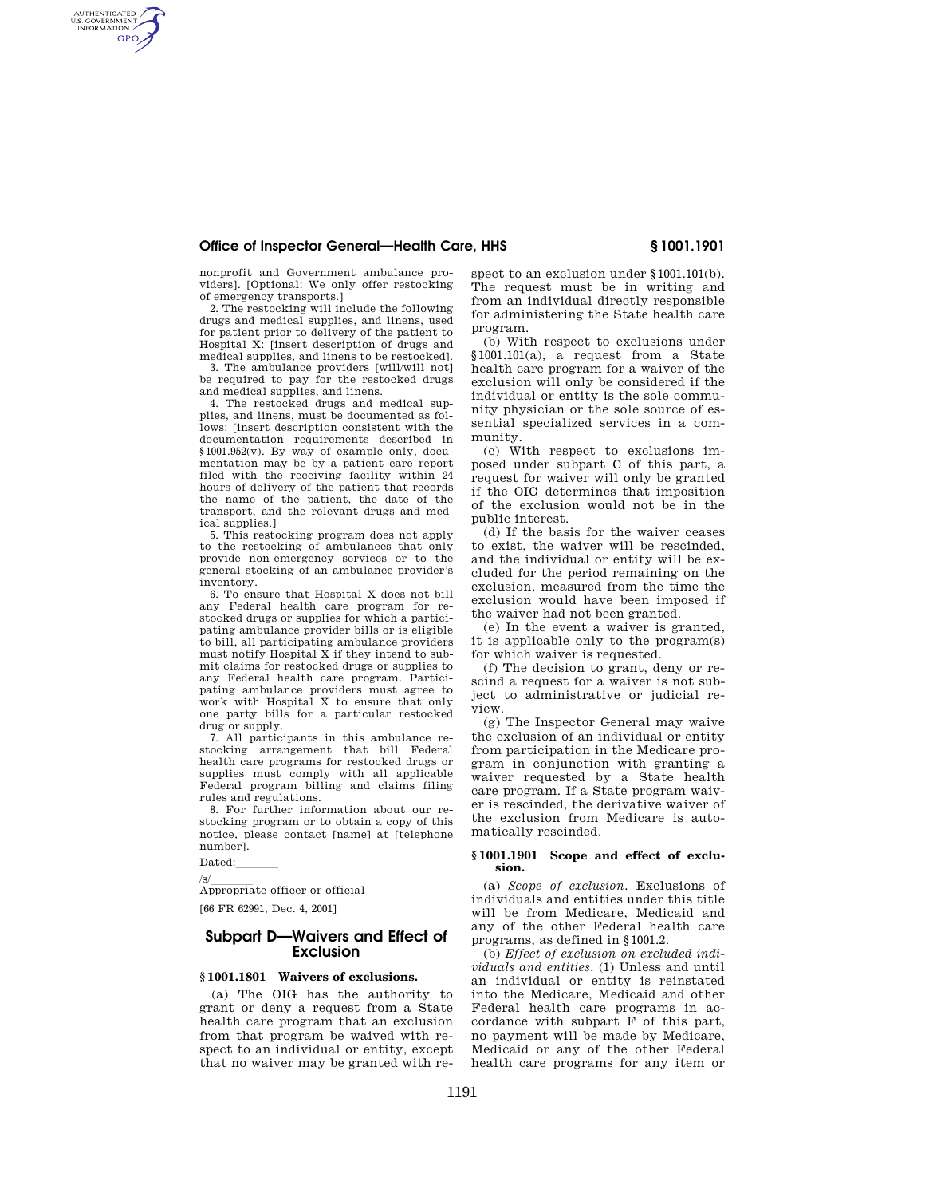## **Office of Inspector General—Health Care, HHS § 1001.1901**

nonprofit and Government ambulance providers]. [Optional: We only offer restocking of emergency transports.]

AUTHENTICATED<br>U.S. GOVERNMENT<br>INFORMATION **GPO** 

> 2. The restocking will include the following drugs and medical supplies, and linens, used for patient prior to delivery of the patient to Hospital X: [insert description of drugs and medical supplies, and linens to be restocked].

> 3. The ambulance providers [will/will not] be required to pay for the restocked drugs and medical supplies, and linens.

> 4. The restocked drugs and medical supplies, and linens, must be documented as follows: [insert description consistent with the documentation requirements described in §1001.952(v). By way of example only, documentation may be by a patient care report filed with the receiving facility within 24 hours of delivery of the patient that records the name of the patient, the date of the transport, and the relevant drugs and medical supplies.]

> 5. This restocking program does not apply to the restocking of ambulances that only provide non-emergency services or to the general stocking of an ambulance provider's inventory.

> 6. To ensure that Hospital X does not bill any Federal health care program for restocked drugs or supplies for which a participating ambulance provider bills or is eligible to bill, all participating ambulance providers must notify Hospital X if they intend to submit claims for restocked drugs or supplies to any Federal health care program. Participating ambulance providers must agree to work with Hospital X to ensure that only one party bills for a particular restocked drug or supply.

> 7. All participants in this ambulance restocking arrangement that bill Federal health care programs for restocked drugs or supplies must comply with all applicable Federal program billing and claims filing rules and regulations.

> 8. For further information about our restocking program or to obtain a copy of this notice, please contact [name] at [telephone number].

Dated:

/s/llll Appropriate officer or official

[66 FR 62991, Dec. 4, 2001]

# **Subpart D—Waivers and Effect of Exclusion**

## **§ 1001.1801 Waivers of exclusions.**

(a) The OIG has the authority to grant or deny a request from a State health care program that an exclusion from that program be waived with respect to an individual or entity, except that no waiver may be granted with respect to an exclusion under §1001.101(b). The request must be in writing and from an individual directly responsible for administering the State health care program.

(b) With respect to exclusions under §1001.101(a), a request from a State health care program for a waiver of the exclusion will only be considered if the individual or entity is the sole community physician or the sole source of essential specialized services in a community.

(c) With respect to exclusions imposed under subpart C of this part, a request for waiver will only be granted if the OIG determines that imposition of the exclusion would not be in the public interest.

(d) If the basis for the waiver ceases to exist, the waiver will be rescinded, and the individual or entity will be excluded for the period remaining on the exclusion, measured from the time the exclusion would have been imposed if the waiver had not been granted.

(e) In the event a waiver is granted, it is applicable only to the program(s) for which waiver is requested.

(f) The decision to grant, deny or rescind a request for a waiver is not subject to administrative or judicial review.

(g) The Inspector General may waive the exclusion of an individual or entity from participation in the Medicare program in conjunction with granting a waiver requested by a State health care program. If a State program waiver is rescinded, the derivative waiver of the exclusion from Medicare is automatically rescinded.

#### **§ 1001.1901 Scope and effect of exclusion.**

(a) *Scope of exclusion.* Exclusions of individuals and entities under this title will be from Medicare, Medicaid and any of the other Federal health care programs, as defined in §1001.2.

(b) *Effect of exclusion on excluded individuals and entities.* (1) Unless and until an individual or entity is reinstated into the Medicare, Medicaid and other Federal health care programs in accordance with subpart F of this part, no payment will be made by Medicare, Medicaid or any of the other Federal health care programs for any item or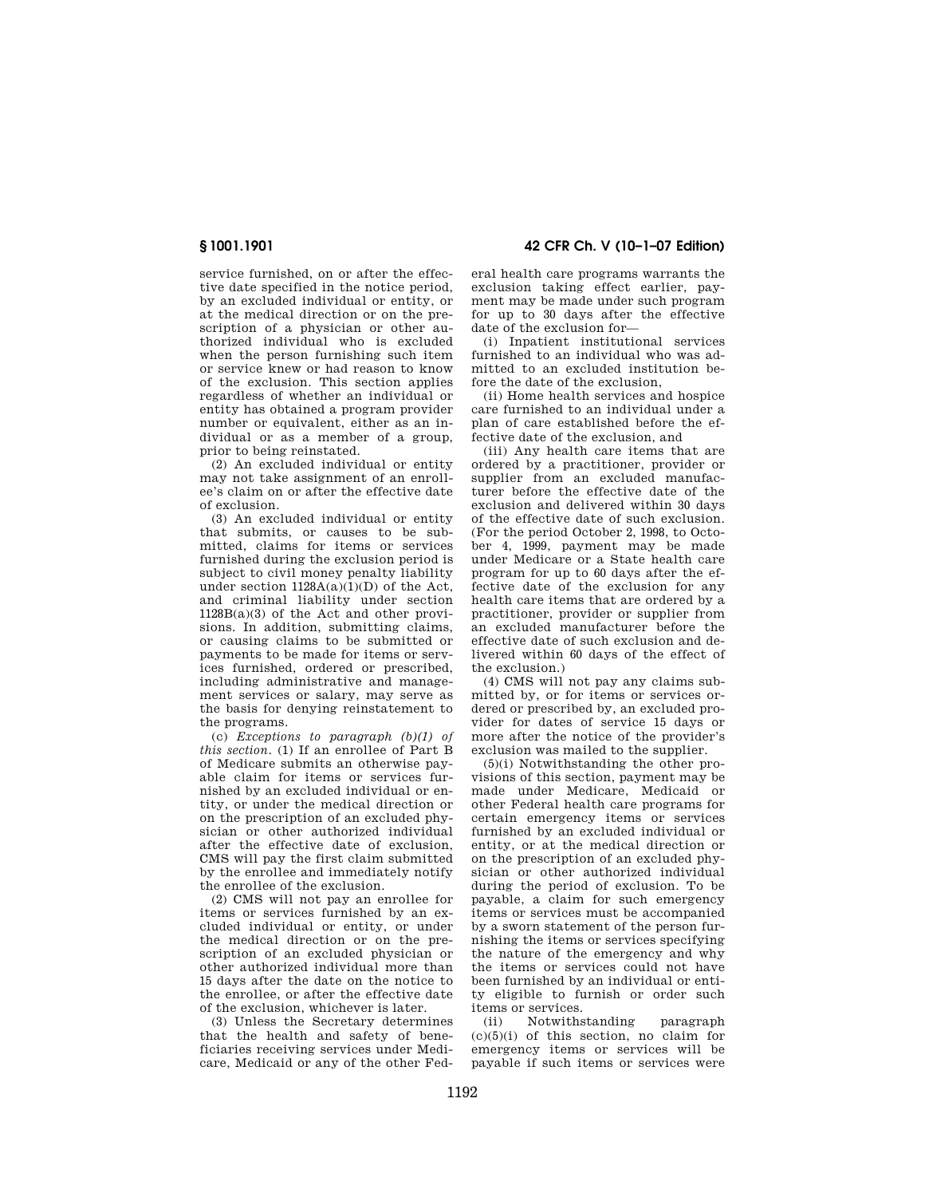**§ 1001.1901 42 CFR Ch. V (10–1–07 Edition)** 

service furnished, on or after the effective date specified in the notice period, by an excluded individual or entity, or at the medical direction or on the prescription of a physician or other authorized individual who is excluded when the person furnishing such item or service knew or had reason to know of the exclusion. This section applies regardless of whether an individual or entity has obtained a program provider number or equivalent, either as an individual or as a member of a group, prior to being reinstated.

(2) An excluded individual or entity may not take assignment of an enrollee's claim on or after the effective date of exclusion.

(3) An excluded individual or entity that submits, or causes to be submitted, claims for items or services furnished during the exclusion period is subject to civil money penalty liability under section  $1128A(a)(1)(D)$  of the Act, and criminal liability under section 1128B(a)(3) of the Act and other provisions. In addition, submitting claims, or causing claims to be submitted or payments to be made for items or services furnished, ordered or prescribed, including administrative and management services or salary, may serve as the basis for denying reinstatement to the programs.

(c) *Exceptions to paragraph (b)(1) of this section.* (1) If an enrollee of Part B of Medicare submits an otherwise payable claim for items or services furnished by an excluded individual or entity, or under the medical direction or on the prescription of an excluded physician or other authorized individual after the effective date of exclusion, CMS will pay the first claim submitted by the enrollee and immediately notify the enrollee of the exclusion.

(2) CMS will not pay an enrollee for items or services furnished by an excluded individual or entity, or under the medical direction or on the prescription of an excluded physician or other authorized individual more than 15 days after the date on the notice to the enrollee, or after the effective date of the exclusion, whichever is later.

(3) Unless the Secretary determines that the health and safety of beneficiaries receiving services under Medicare, Medicaid or any of the other Federal health care programs warrants the exclusion taking effect earlier, payment may be made under such program for up to 30 days after the effective date of the exclusion for—

(i) Inpatient institutional services furnished to an individual who was admitted to an excluded institution before the date of the exclusion,

(ii) Home health services and hospice care furnished to an individual under a plan of care established before the effective date of the exclusion, and

(iii) Any health care items that are ordered by a practitioner, provider or supplier from an excluded manufacturer before the effective date of the exclusion and delivered within 30 days of the effective date of such exclusion. (For the period October 2, 1998, to October 4, 1999, payment may be made under Medicare or a State health care program for up to 60 days after the effective date of the exclusion for any health care items that are ordered by a practitioner, provider or supplier from an excluded manufacturer before the effective date of such exclusion and delivered within 60 days of the effect of the exclusion.)

(4) CMS will not pay any claims submitted by, or for items or services ordered or prescribed by, an excluded provider for dates of service 15 days or more after the notice of the provider's exclusion was mailed to the supplier.

(5)(i) Notwithstanding the other provisions of this section, payment may be made under Medicare, Medicaid or other Federal health care programs for certain emergency items or services furnished by an excluded individual or entity, or at the medical direction or on the prescription of an excluded physician or other authorized individual during the period of exclusion. To be payable, a claim for such emergency items or services must be accompanied by a sworn statement of the person furnishing the items or services specifying the nature of the emergency and why the items or services could not have been furnished by an individual or entity eligible to furnish or order such items or services.<br>(ii) Notwiths

Notwithstanding paragraph  $(c)(5)(i)$  of this section, no claim for emergency items or services will be payable if such items or services were